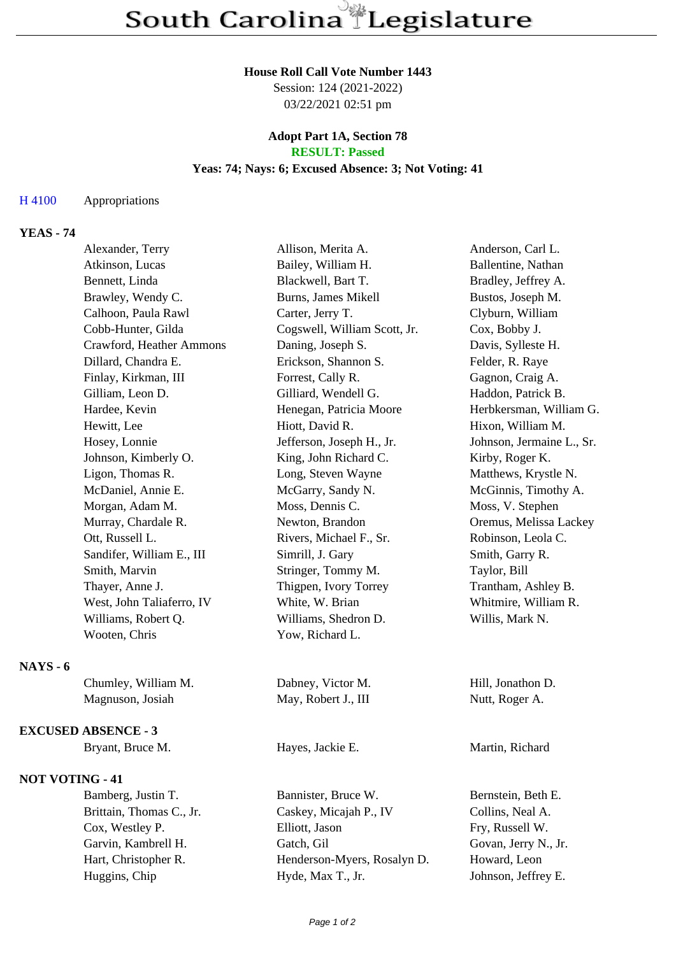## **House Roll Call Vote Number 1443**

Session: 124 (2021-2022) 03/22/2021 02:51 pm

## **Adopt Part 1A, Section 78 RESULT: Passed**

## **Yeas: 74; Nays: 6; Excused Absence: 3; Not Voting: 41**

## H 4100 Appropriations

# **YEAS - 74**

| Alexander, Terry          | Allison, Merita A.           | Anderson, Carl L.         |
|---------------------------|------------------------------|---------------------------|
| Atkinson, Lucas           | Bailey, William H.           | Ballentine, Nathan        |
| Bennett, Linda            | Blackwell, Bart T.           | Bradley, Jeffrey A.       |
| Brawley, Wendy C.         | Burns, James Mikell          | Bustos, Joseph M.         |
| Calhoon, Paula Rawl       | Carter, Jerry T.             | Clyburn, William          |
| Cobb-Hunter, Gilda        | Cogswell, William Scott, Jr. | Cox, Bobby J.             |
| Crawford, Heather Ammons  | Daning, Joseph S.            | Davis, Sylleste H.        |
| Dillard, Chandra E.       | Erickson, Shannon S.         | Felder, R. Raye           |
| Finlay, Kirkman, III      | Forrest, Cally R.            | Gagnon, Craig A.          |
| Gilliam, Leon D.          | Gilliard, Wendell G.         | Haddon, Patrick B.        |
| Hardee, Kevin             | Henegan, Patricia Moore      | Herbkersman, William G.   |
| Hewitt, Lee               | Hiott, David R.              | Hixon, William M.         |
| Hosey, Lonnie             | Jefferson, Joseph H., Jr.    | Johnson, Jermaine L., Sr. |
| Johnson, Kimberly O.      | King, John Richard C.        | Kirby, Roger K.           |
| Ligon, Thomas R.          | Long, Steven Wayne           | Matthews, Krystle N.      |
| McDaniel, Annie E.        | McGarry, Sandy N.            | McGinnis, Timothy A.      |
| Morgan, Adam M.           | Moss, Dennis C.              | Moss, V. Stephen          |
| Murray, Chardale R.       | Newton, Brandon              | Oremus, Melissa Lackey    |
| Ott, Russell L.           | Rivers, Michael F., Sr.      | Robinson, Leola C.        |
| Sandifer, William E., III | Simrill, J. Gary             | Smith, Garry R.           |
| Smith, Marvin             | Stringer, Tommy M.           | Taylor, Bill              |
| Thayer, Anne J.           | Thigpen, Ivory Torrey        | Trantham, Ashley B.       |
| West, John Taliaferro, IV | White, W. Brian              | Whitmire, William R.      |
| Williams, Robert Q.       | Williams, Shedron D.         | Willis, Mark N.           |
| Wooten, Chris             | Yow, Richard L.              |                           |

**NAYS - 6**

Magnuson, Josiah May, Robert J., III Nutt, Roger A.

## **EXCUSED ABSENCE - 3**

Bryant, Bruce M. **Hayes**, Jackie E. **Martin**, Richard

### **NOT VOTING - 41**

Bamberg, Justin T. Bannister, Bruce W. Bernstein, Beth E. Brittain, Thomas C., Jr. Caskey, Micajah P., IV Collins, Neal A. Cox, Westley P. Elliott, Jason Fry, Russell W. Garvin, Kambrell H. Gatch, Gil Govan, Jerry N., Jr. Hart, Christopher R. Henderson-Myers, Rosalyn D. Howard, Leon Huggins, Chip Hyde, Max T., Jr. Johnson, Jeffrey E.

Chumley, William M. Dabney, Victor M. Hill, Jonathon D.